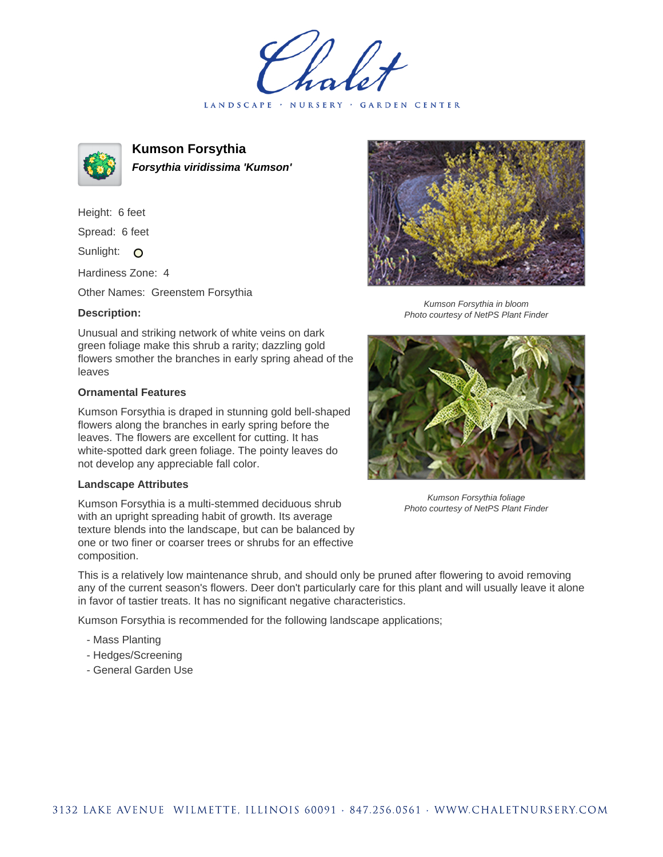LANDSCAPE · NURSERY · GARDEN CENTER



**Kumson Forsythia Forsythia viridissima 'Kumson'**

Height: 6 feet Spread: 6 feet

Sunlight: O

Hardiness Zone: 4

Other Names: Greenstem Forsythia

## **Description:**

Unusual and striking network of white veins on dark green foliage make this shrub a rarity; dazzling gold flowers smother the branches in early spring ahead of the leaves

## **Ornamental Features**

Kumson Forsythia is draped in stunning gold bell-shaped flowers along the branches in early spring before the leaves. The flowers are excellent for cutting. It has white-spotted dark green foliage. The pointy leaves do not develop any appreciable fall color.

## **Landscape Attributes**

Kumson Forsythia is a multi-stemmed deciduous shrub with an upright spreading habit of growth. Its average texture blends into the landscape, but can be balanced by one or two finer or coarser trees or shrubs for an effective composition.

This is a relatively low maintenance shrub, and should only be pruned after flowering to avoid removing any of the current season's flowers. Deer don't particularly care for this plant and will usually leave it alone in favor of tastier treats. It has no significant negative characteristics.

Kumson Forsythia is recommended for the following landscape applications;

- Mass Planting
- Hedges/Screening
- General Garden Use



Kumson Forsythia in bloom Photo courtesy of NetPS Plant Finder



Kumson Forsythia foliage Photo courtesy of NetPS Plant Finder